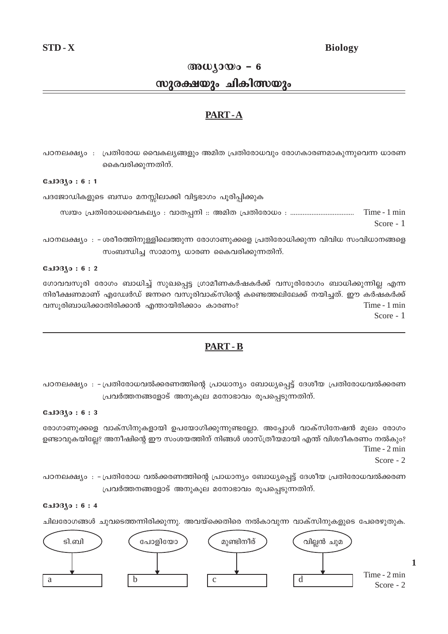# **Biology**

# $\omega_{10}\omega_0 - 6$

# സുരക്ഷയും ചികിത്സയും

# PART-A

പഠനലക്ഷ്യം : പ്രതിരോധ വൈകല്യങ്ങളും അമിത പ്രതിരോധവും രോഗകാരണമാകുന്നുവെന്ന ധാരണ കൈവരിക്കുന്നതിന്.

#### $0.103(0:6:1)$

പദജോഡികളുടെ ബന്ധം മനസ്സിലാക്കി വിട്ടഭാഗം പൂരിപ്പിക്കുക

Time - 1 min Score - 1

പഠനലക്ഷ്യം : - ശരീരത്തിനുള്ളിലെത്തുന്ന രോഗാണുക്കളെ പ്രതിരോധിക്കുന്ന വിവിധ സംവിധാനങ്ങളെ സംബന്ധിച്ച സാമാന്യ ധാരണ കൈവരിക്കുന്നതിന്.

#### **Galogo: 6:2**

ഗോവവസൂരി രോഗം ബാധിച്ച് സുഖപ്പെട്ട ഗ്രാമീണകർഷകർക്ക് വസൂരിരോഗം ബാധിക്കുന്നില്ല എന്ന നിരീക്ഷണമാണ് എഡ്വേർഡ് ജന്നറെ വസൂരിവാക്സിന്റെ കണ്ടെത്തലിലേക്ക് നയിച്ചത്. ഈ കർഷകർക്ക് വസൂരിബാധിക്കാതിരിക്കാൻ എന്തായിരിക്കാം കാരണം? Time - 1 min

Score - 1

# **PART-B**

്പഠനലക്ഷ്യം : - പ്രതിരോധവൽക്കരണത്തിന്റെ പ്രാധാന്യം ബോധ്യപ്പെട്ട് ദേശീയ പ്രതിരോധവൽക്കരണ പ്രവർത്തനങ്ങളോട് അനുകൂല മനോഭാവം രൂപപ്പെടുന്നതിന്.

#### **பോദ്യം: 6:3**

രോഗാണുക്കളെ വാക്സിനുകളായി ഉപയോഗിക്കുന്നുണ്ടല്ലോ. അപ്പോൾ വാക്സിനേഷൻ മൂലം രോഗം ഉണ്ടാവുകയില്ലേ? അനീഷിന്റെ ഈ സംശയത്തിന് നിങ്ങൾ ശാസ്ത്രീയമായി എന്ത് വിശദീകരണം നൽകും? Time - 2 min

Score -  $2$ 

പഠനലക്ഷ്യം : -പ്രതിരോധ വൽക്കരണത്തിന്റെ പ്രാധാന്യം ബോധ്യപ്പെട്ട് ദേശീയ പ്രതിരോധവൽക്കരണ പ്രവർത്തനങ്ങളോട് അനുകൂല മനോഭാവം രൂപപ്പെടുന്നതിന്.

### $0.103$ јо: 6:4

ചിലരോഗങ്ങൾ ചുവടെത്തന്നിരിക്കുന്നു. അവയ്ക്കെതിരെ നൽകാവുന്ന വാക്സിനുകളുടെ പേരെഴുതുക.

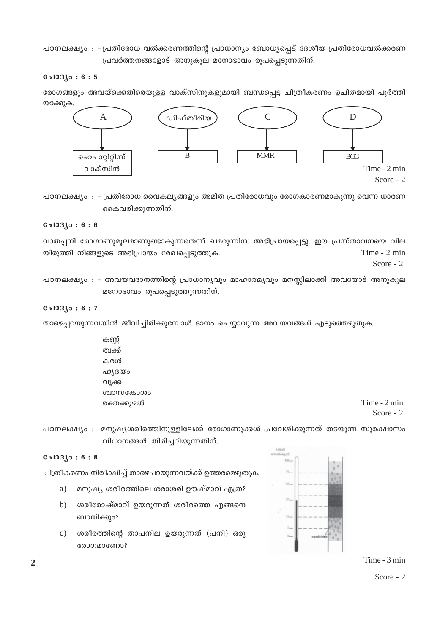പഠനലക്ഷ്യം : - പ്രതിരോധ വൽക്കരണത്തിന്റെ പ്രാധാന്യം ബോധ്യപ്പെട്ട് ദേശീയ പ്രതിരോധവൽക്കരണ  ${1}$ പവർത്തനങ്ങളോട് അനുകൂല മനോഭാവം രൂപപ്പെടുന്നതിന്.

#### **С**ы0Зјо: 6:5

രോഗങ്ങളും അവയ്ക്കെതിരെയുള്ള വാക്സിനുകളുമായി ബന്ധപ്പെട്ട ചിത്രീകരണം ഉചിതമായി പൂർത്തി യാക്കുക.



പഠനലക്ഷ്യം : - പ്രതിരോധ വൈകല്യങ്ങളും അമിത പ്രതിരോധവും രോഗകാരണമാകുന്നു വെന്ന ധാരണ കൈവരിക്കുന്നതിന്.

#### **С**ы0Зјо: 6:6

വാതപ്പനി രോഗാണുമൂലമാണുണ്ടാകുന്നതെന്ന് ഖമറുന്നിസ അഭിപ്രായപ്പെട്ടു. ഈ പ്രസ്താവനയെ വില യിരുത്തി നിങ്ങളുടെ അഭിപ്രായം രേഖപ്പെടുത്തുക.  $\blacksquare$ Score - 2

പഠനലക്ഷ്യം : - അവയവദാനത്തിന്റെ പ്രാധാന്യവും മാഹാത്മ്യവും മനസ്സിലാക്കി അവയോട് അനുകൂല  $\alpha$ നോഭാവം രൂപപ്പെടുത്തുന്നതിന്.

#### **பே**330 : 6 : 7

താഴെപ്പറയുന്നവയിൽ ജീവിച്ചിരിക്കുമ്പോൾ ദാനം ചെയ്യാവുന്ന അവയവങ്ങൾ എടുത്തെഴുതുക.

കണ്ണ് ത്വക്ക് കരൾ ഹൃദയം വൃക്ക ശ്വാസകോശം രക്തക്കുഴൽ  $\Gamma$ ime - 2 min

Score - 2

പഠനലക്ഷ്യം : -മനുഷ്യശരീരത്തിനുള്ളിലേക്ക് രോഗാണുക്കൾ പ്രവേശിക്കുന്നത് തടയുന്ന സുരക്ഷാസം വിധാനങ്ങൾ തിരിച്ചറിയുന്നതിന്.

# $C_{2}103(0:6:8)$

ചിത്രീകരണം നിരീക്ഷിച്ച് താഴെപറയുന്നവയ്ക്ക് ഉത്തരമെഴുതുക.

- a) മനുഷ്യ ശരീരത്തിലെ ശരാശരി ഊഷ്മാവ് എത്ര?
- b) ശരീരോഷ്മാവ് ഉയരുന്നത് ശരീരത്തെ എങ്ങനെ ബാധിക്കും?
- c) ശരീരത്തിന്റെ താപനില ഉയരുന്നത് (പനി) ഒരു cooconacomo?



Time - 3 min Score - 2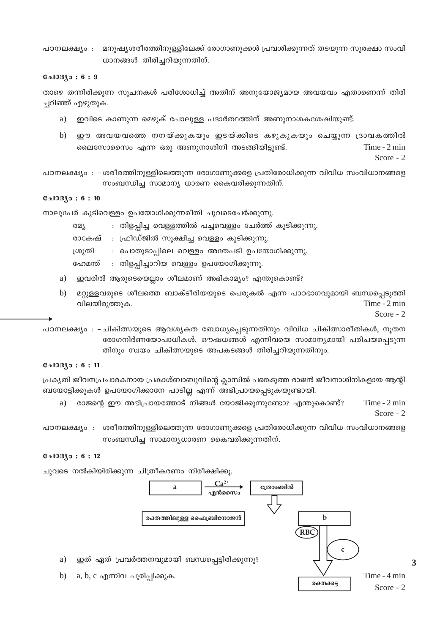മനുഷ്യശരീരത്തിനുള്ളിലേക്ക് രോഗാണുക്കൾ പ്രവശിക്കുന്നത് തടയുന്ന സുരക്ഷാ സംവി പഠനലക്ഷ്യം : ധാനങ്ങൾ തിരിച്ചറിയുന്നതിന്.

#### $0.103$ јо: 6:9

താഴെ തന്നിരിക്കുന്ന സൂചനകൾ പരിശോധിച്ച് അതിന് അനുയോജ്യമായ അവയവം എതാണെന്ന് തിരി ച്ചറിഞ്ഞ് എഴുതുക.

- ഇവിടെ കാണുന്ന മെഴുക് പോലുള്ള പദാർത്ഥത്തിന് അണുനാശകശേഷിയുണ്ട്. a)
- $b)$ ഈ അവയവത്തെ നനയ്ക്കുകയും ഇടയ്ക്കിടെ കഴുകുകയും ചെയ്യുന്ന ദ്രാവകത്തിൽ ലൈസോസൈം എന്ന ഒരു അണുനാശിനി അടങ്ങിയിട്ടുണ്ട്. Time - 2 min Score -  $2$

പഠനലക്ഷ്യം : - ശരീരത്തിനുള്ളിലെത്തുന്ന രോഗാണുക്കളെ പ്രതിരോധിക്കുന്ന വിവിധ സംവിധാനങ്ങളെ സംബന്ധിച്ച സാമാന്യ ധാരണ കൈവരിക്കുന്നതിന്.

#### $0.103(0:6:10)$

നാലൂപേർ കൂടിവെള്ളം ഉപയോഗിക്കുന്നരീതി ചൂവടെചേർക്കുന്നു.

| രമ്യ    | : തിളപ്പിച്ച വെള്ളത്തിൽ പച്ചവെള്ളം ചേർത്ത് കുടിക്കുന്നു. |  |
|---------|----------------------------------------------------------|--|
|         | രാകേഷ് : ഫ്രിഡ്ജിൽ സൂക്ഷിച്ച വെള്ളം കുടിക്കുന്നു.        |  |
| ശ്രുതി  | : പൊതുടാപ്പിലെ വെള്ളം അതേപടി ഉപയോഗിക്കുന്നു.             |  |
| ഫേമന്ത് | : തിളപ്പിച്ചാറിയ വെള്ളം ഉപയോഗിക്കുന്നു.                  |  |

- a) ഇവരിൽ ആരുടെയെല്ലാം ശീലമാണ് അഭികാമ്യം? എന്തുകൊണ്ട്?
- $b)$ മറ്റുള്ളവരുടെ ശീലത്തെ ബാക്ടീരിയയുടെ പെരുകൽ എന്ന പാഠഭാഗവുമായി ബന്ധപ്പെടുത്തി Time - 2 min വിലയിരുത്തുക.

Score - 2

3

പഠനലക്ഷ്യം : - ചികിത്സയുടെ ആവശ്യകത ബോധ്യപ്പെടുന്നതിനും വിവിധ ചികിത്സാരീതികൾ, നൂതന രോഗനിർണയോപാധികൾ, ഔഷധങ്ങൾ എന്നിവയെ സാമാന്യമായി പരിചയപ്പെടുന്ന തിനും സ്വയം ചികിത്സയുടെ അപകടങ്ങൾ തിരിച്ചറിയുന്നതിനും.

#### **CalOBSo: 6:11**

പ്രകൃതി ജീവനപ്രചാരകനായ പ്രകാശ്ബാബുവിന്റെ ക്ലാസിൽ പങ്കെടുത്ത രാജൻ ജീവനാശിനികളായ ആന്റി ബയോട്ടിക്കുകൾ ഉപയോഗിക്കാനേ പാടില്ല എന്ന് അഭിപ്രായപ്പെടുകയുണ്ടായി.

രാജന്റെ ഈ അഭിപ്രായത്തോട് നിങ്ങൾ യോജിക്കുന്നുണ്ടോ? എന്തുകൊണ്ട്?  $Time - 2 min$ a) Score - 2

പഠനലക്ഷ്യം : ശരീരത്തിനുള്ളിലെത്തുന്ന രോഗാണുക്കളെ പ്രതിരോധിക്കുന്ന വിവിധ സംവിധാനങ്ങളെ സംബന്ധിച്ച സാമാന്യധാരണ കൈവരിക്കുന്നതിന്.

#### $0.103$ јо: 6:12

a)

 $b)$ 

ചുവടെ നൽകിയിരിക്കുന്ന ചിത്രീകരണം നിരീക്ഷിക്കു.

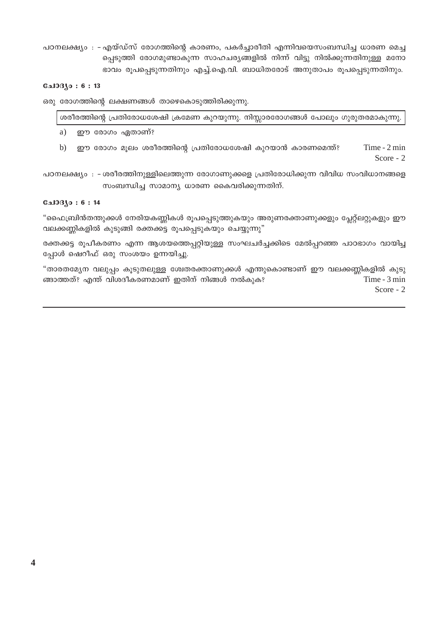പഠനലക്ഷ്യം : - എയ്ഡ്സ് രോഗത്തിന്റെ കാരണം, പകർച്ചാരീതി എന്നിവയെസംബന്ധിച്ച ധാരണ മെച്ച പ്പെടുത്തി രോഗമുണ്ടാകുന്ന സാഹചര്യങ്ങളിൽ നിന്ന് വിട്ടു നിൽക്കുന്നതിനുള്ള മനോ ഭാവം രൂപപ്പെടുന്നതിനും എച്ച്.ഐ.വി. ബാധിതരോട് അനുതാപം രൂപപ്പെടുന്നതിനും.

#### $0.103$ јо: 6:13

ഒരു രോഗത്തിന്റെ ലക്ഷണങ്ങൾ താഴെകൊടുത്തിരിക്കുന്നു.

|    | ശരീരത്തിന്റെ പ്രതിരോധശേഷി ക്രമേണ കുറയുന്നു. നിസ്സാരരോഗങ്ങൾ പോലും ഗുരുതരമാകുന്നു. |                             |
|----|----------------------------------------------------------------------------------|-----------------------------|
| a) | ഈ രോഗം ഏതാണ്?                                                                    |                             |
| b) | ഈ രോഗം മൂലം ശരീരത്തിന്റെ പ്രതിരോധശേഷി കുറയാൻ കാരണമെന്ത്?                         | Time $-2$ min<br>Score $-2$ |

പഠനലക്ഷ്യം : -ശരീരത്തിനുള്ളിലെത്തുന്ന രോഗാണുക്കളെ പ്രതിരോധിക്കുന്ന വിവിധ സംവിധാനങ്ങളെ സംബന്ധിച്ച സാമാന്യ ധാരണ കൈവരിക്കുന്നതിന്.

# **பോദ്യം: 6:14**

"ഫൈബ്രിൻതന്തുക്കൾ നേരിയകണ്ണികൾ രൂപപ്പെടുത്തുകയും അരുണരക്താണുക്കളും പ്ലേറ്റ്ലറ്റുകളും ഈ വലക്കണ്ണികളിൽ കുടുങ്ങി രക്തക്കട്ട രൂപപ്പെടുകയും ചെയ്യുന്നു"

രക്തക്കട്ട രൂപീകരണം എന്ന ആശയത്തെപ്പറ്റിയുള്ള സംഘചർച്ചക്കിടെ മേൽപ്പറഞ്ഞ പാഠഭാഗം വായിച്ച പ്പോൾ ഷെറീഫ് ഒരു സംശയം ഉന്നയിച്ചു.

"താരതമ്യേന വലുപ്പം കൂടുതലുള്ള ശ്വേതരക്താണുക്കൾ എന്തുകൊണ്ടാണ് ഈ വലക്കണ്ണികളിൽ കുടു ങ്ങാത്തത്? എന്ത് വിശദീകരണമാണ് ഇതിന് നിങ്ങൾ നൽകുക? Time - 3 min Score -  $2$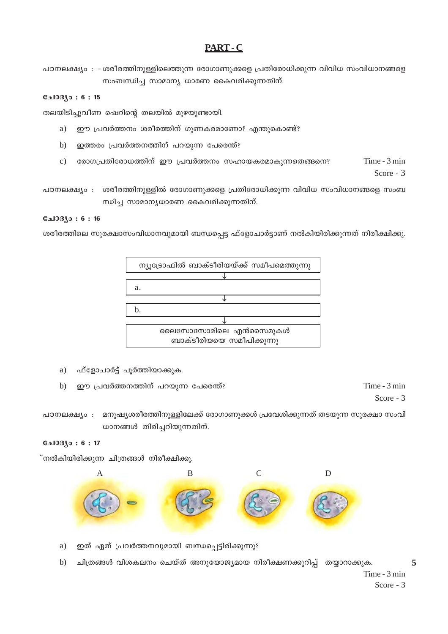# PART-C

പഠനലക്ഷ്യം : -ശരീരത്തിനുള്ളിലെത്തുന്ന രോഗാണുക്കളെ പ്രതിരോധിക്കുന്ന വിവിധ സംവിധാനങ്ങളെ സംബന്ധിച്ച സാമാന്യ ധാരണ കൈവരിക്കുന്നതിന്.

# **CalOB**so: 6:15

തലയിടിച്ചുവീണ ഷെറിന്റെ തലയിൽ മുഴയുണ്ടായി.

- ഈ പ്രവർത്തനം ശരീരത്തിന് ഗുണകരമാണോ? എന്തുകൊണ്ട്?  $a)$
- ഇത്തരം പ്രവർത്തനത്തിന് പറയുന്ന പേരെന്ത്?  $b)$
- രോഗപ്രതിരോധത്തിന് ഈ പ്രവർത്തനം സഹായകരമാകുന്നതെങ്ങനെ? Time - 3 min  $\mathbf{c})$ Score - 3
- പഠനലക്ഷ്യം : ശരീരത്തിനുള്ളിൽ രോഗാണുക്കളെ പ്രതിരോധിക്കുന്ന വിവിധ സംവിധാനങ്ങളെ സംബ ന്ധിച്ച സാമാന്യധാരണ കൈവരിക്കുന്നതിന്.

### **பോദ്യം : 6 : 16**

ശരീരത്തിലെ സുരക്ഷാസംവിധാനവുമായി ബന്ധപ്പെട്ട ഫ്ളോചാർട്ടാണ് നൽകിയിരിക്കുന്നത് നിരീക്ഷിക്കൂ.



- ഫ്ളോചാർട്ട് പൂർത്തിയാക്കുക. a)
- $b)$ ഈ പ്രവർത്തനത്തിന് പറയുന്ന പേരെന്ത്?

Time - 3 min Score - 3

പഠനലക്ഷ്യം : മനുഷ്യശരീരത്തിനുള്ളിലേക്ക് രോഗാണുക്കൾ പ്രവേശിക്കുന്നത് തടയുന്ന സുരക്ഷാ സംവി ധാനങ്ങൾ തിരിച്ചറിയുന്നതിന്.

#### **பே330:6:17**

്നൽകിയിരിക്കുന്ന ചിത്രങ്ങൾ നിരീക്ഷിക്കൂ.



- ഇത് ഏത് പ്രവർത്തനവുമായി ബന്ധപ്പെട്ടിരിക്കുന്നു? a)
- ചിത്രങ്ങൾ വിശകലനം ചെയ്ത് അനുയോജ്യമായ നിരീക്ഷണക്കുറിപ്പ് തയ്യാറാക്കുക.  $b)$

 $\overline{5}$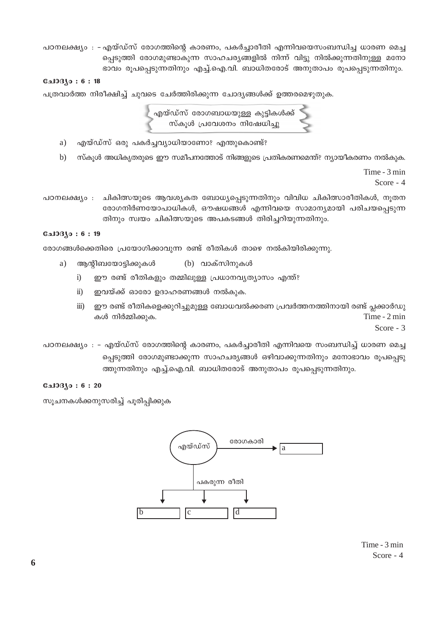പഠനലക്ഷ്യം : - എയ്ഡ്സ് രോഗത്തിന്റെ കാരണം, പകർച്ചാരീതി എന്നിവയെസംബന്ധിച്ച ധാരണ മെച്ച പ്പെടുത്തി രോഗമുണ്ടാകുന്ന സാഹചര്യങ്ങളിൽ നിന്ന് വിട്ടു നിൽക്കുന്നതിനുള്ള മനോ ഭാവം രൂപപ്പെടുന്നതിനും എച്ച്.ഐ.വി. ബാധിതരോട് അനുതാപം രൂപപ്പെടുന്നതിനും.

#### $C_{2}10310:6:18$

പത്രവാർത്ത നിരീക്ഷിച്ച് ചുവടെ ചേർത്തിരിക്കുന്ന ചോദ്യങ്ങൾക്ക് ഉത്തരമെഴുതുക.

എയ്ഡ്സ് രോഗബാധയുള്ള കുട്ടികൾക്ക്<br>സ്കൂൾ പ്രവേശനം നിഷേധിച്ചു

- എയ്ഡ്സ് ഒരു പകർച്ചവ്യാധിയാണോ? എന്തുകൊണ്ട്? a)
- സ്കൂൾ അധികൃതരുടെ ഈ സമീപനത്തോട് നിങ്ങളുടെ പ്രതികരണമെന്ത്? ന്യായീകരണം നൽകുക.  $b)$

Time - 3 min Score -  $4$ 

ചികിത്സയുടെ ആവശ്യകത ബോധ്യപ്പെടുന്നതിനും വിവിധ ചികിത്സാരീതികൾ, നൂതന പഠനലക്ഷ്യം : രോഗനിർണയോപാധികൾ, ഔഷധങ്ങൾ എന്നിവയെ സാമാന്യമായി പരിചയപ്പെടുന്ന തിനും സ്വയം ചികിത്സയുടെ അപകടങ്ങൾ തിരിച്ചറിയുന്നതിനും.

#### **CalOB**so: 6:19

രോഗങ്ങൾക്കെതിരെ പ്രയോഗിക്കാവുന്ന രണ്ട് രീതികൾ താഴെ നൽകിയിരിക്കുന്നു.

- (b) വാക്സിനുകൾ ആന്റിബയോട്ടിക്കുകൾ a)
	- $i)$ ഈ രണ്ട് രീതികളും തമ്മിലുള്ള പ്രധാനവൃത്യാസം എന്ത്?
	- $\ddot{\text{1}}$ ഇവയ്ക്ക് ഓരോ ഉദാഹരണങ്ങൾ നൽകുക.
	- ഈ രണ്ട് രീതികളെക്കുറിച്ചുമുള്ള ബോധവൽക്കരണ പ്രവർത്തനത്തിനായി രണ്ട് പ്ലക്കാർഡു  $\overline{111}$ കൾ നിർമ്മിക്കുക. Time - 2 min

Score -  $3$ 

പഠനലക്ഷ്യം : - എയ്ഡ്സ് രോഗത്തിന്റെ കാരണം, പകർച്ചാരീതി എന്നിവയെ സംബന്ധിച്ച് ധാരണ മെച്ച പ്പെടുത്തി രോഗമുണ്ടാക്കുന്ന സാഹചര്യങ്ങൾ ഒഴിവാക്കുന്നതിനും മനോഭാവം രൂപപ്പെടു ത്തുന്നതിനും എച്ച്.ഐ.വി. ബാധിതരോട് അനുതാപം രുപപ്പെടുന്നതിനും.

#### $0.103$ јо: 6:20

സുചനകൾക്കനുസരിച്ച് പുരിപ്പിക്കുക



Time - 3 min Score - 4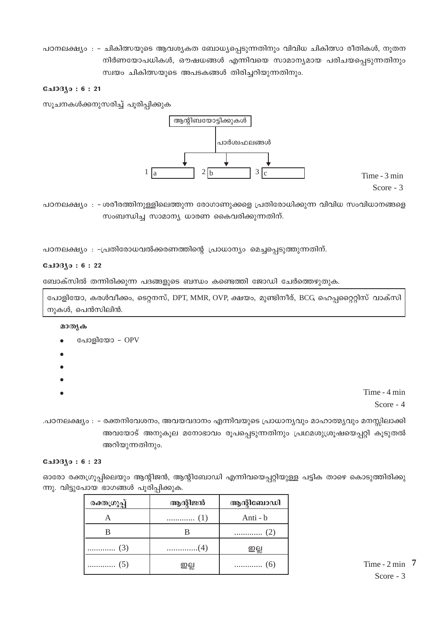പഠനലക്ഷ്യം : - ചികിത്സയുടെ ആവശ്യകത ബോധ്യപ്പെടുന്നതിനും വിവിധ ചികിത്സാ രീതികൾ, നൂതന നിർണയോപധികൾ, ഔഷധങ്ങൾ എന്നിവയെ സാമാന്യമായ പരിചയപ്പെടുന്നതിനും സ്വയം ചികിത്സയുടെ അപടകങ്ങൾ തിരിച്ചറിയുന്നതിനും.

# **பോദ്യം : 6 : 21**

സൂചനകൾക്കനുസരിച്ച് പൂരിപ്പിക്കുക



Time - 3 min Score -  $3$ 

പഠനലക്ഷ്യം : -ശരീരത്തിനുള്ളിലെത്തുന്ന രോഗാണുക്കളെ പ്രതിരോധിക്കുന്ന വിവിധ സംവിധാനങ്ങളെ സംബന്ധിച്ച സാമാന്യ ധാരണ കൈവരിക്കുന്നതിന്.

പഠനലക്ഷ്യം : -പ്രതിരോധവൽക്കരണത്തിന്റെ പ്രാധാന്യം മെച്ചപ്പെടുത്തുന്നതിന്.

#### **பே33.0:6:22**

ബോക്സിൽ തന്നിരിക്കുന്ന പദങ്ങളുടെ ബന്ധം കണ്ടെത്തി ജോഡി ചേർത്തെഴുതുക.

പോളിയോ, കരൾവീക്കം, ടെറ്റനസ്, DPT, MMR, OVP, ക്ഷയം, മുണ്ടിനീര്, BCG, ഹെപ്പറ്റൈറ്റിസ് വാക്സി നുകൾ, പെൻസിലിൻ.

മാതൃക

- പോളിയോ OPV
- -
- 
- 
- 

Time - 4 min Score -  $4$ 

.പഠനലക്ഷ്യം : – രക്തനിവേശനം, അവയവദാനം എന്നിവയുടെ പ്രാധാന്യവും മാഹാത്മ്യവും മനസ്സിലാക്കി അവയോട് അനുകൂല മനോഭാവം രൂപപ്പെടുന്നതിനും പ്രഥമശുശ്രൂഷയെപ്പറ്റി കൂടുതൽ അറിയുന്നതിനും.

#### **பോദ്യം: 6:23**

ഓരോ രക്തഗ്രൂപ്പിലെയും ആന്റിജൻ, ആന്റിബോഡി എന്നിവയെപ്പറ്റിയുള്ള പട്ടിക താഴെ കൊടുത്തിരിക്കു ന്നു. വിട്ടുപോയ ഭാഗങ്ങൾ പൂരിപ്പിക്കുക.

| രക്തഗ്രൂപ്പ് | ആന്റിജൻ | ആന്റിബോഡി |
|--------------|---------|-----------|
|              |         | Anti - b  |
|              |         |           |
|              |         | 일点        |
|              | 일부      | .         |

Time -  $2 \text{ min}$  7 Score -  $3$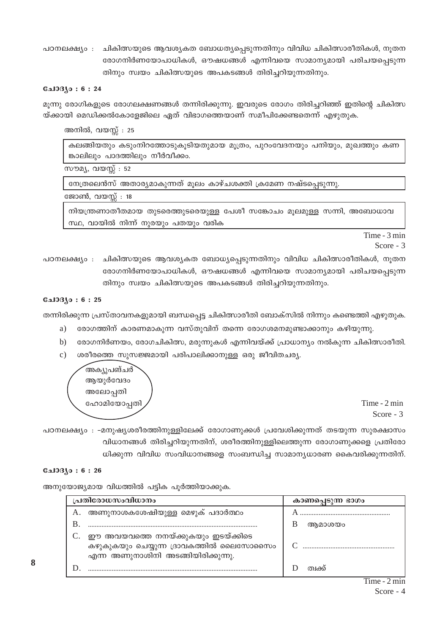ചികിത്സയുടെ ആവശ്യകത ബോധത്യപ്പെടുന്നതിനും വിവിധ ചികിത്സാരീതികൾ, നൂതന പഠനലക്ഷ്യം : രോഗനിർണയോപാധികൾ, ഔഷധങ്ങൾ എന്നിവയെ സാമാന്യമായി പരിചയപെടുന്ന തിനും സ്വയം ചികിത്സയുടെ അപകടങ്ങൾ തിരിച്ചറിയുന്നതിനും.

# **CalOBAo: 6:24**

മൂന്നു രോഗികളുടെ രോഗലക്ഷണങ്ങൾ തന്നിരിക്കുന്നു. ഇവരുടെ രോഗം തിരിച്ചറിഞ്ഞ് ഇതിന്റെ ചികിത്സ യ്ക്കായി മെഡിക്കൽകോളേജിലെ ഏത് വിഭാഗത്തെയാണ് സമീപിക്കേണ്ടതെന്ന് എഴുതുക.

അനിൽ, വയസ്സ് : 25

കലങ്ങിയതും കടുംനിറത്തോടുകൂടിയതുമായ മൂത്രം, പുറംവേദനയും പനിയും, മുഖത്തും കണ ങ്കാലിലും പാദത്തിലും നീർവീക്കം.

സൗമ്യ, വയസ്സ് : 52

നേത്രലെൻസ് അതാര്യമാകുന്നത് മൂലം കാഴ്ചശക്തി ക്രമേണ നഷ്ടപെടുന്നു.

ജോൺ. വയസ്: 18

നിയന്ത്രണാതീതമായ തുടരെത്തുടരെയുള്ള പേശീ സങ്കോചം മൂലമുള്ള സന്നി, അബോധാവ സ്ഥ, വായിൽ നിന്ന് നുരയും പതയും വരിക

> Time - 3 min Score - 3

പഠനലക്ഷ്യം : ചികിത്സയുടെ ആവശ്യകത ബോധ്യപ്പെടുന്നതിനും വിവിധ ചികിത്സാരീതികൾ, നൂതന രോഗനിർണയോപാധികൾ, ഔഷധങ്ങൾ എന്നിവയെ സാമാന്യമായി പരിചയപ്പെടുന്ന തിനും സ്വയം ചികിത്സയുടെ അപകടങ്ങൾ തിരിച്ചറിയുന്നതിനും.

# **CalOBJo: 6:25**

തന്നിരിക്കുന്ന പ്രസ്താവനകളുമായി ബന്ധപ്പെട്ട ചികിത്സാരീതി ബോക്സിൽ നിന്നും കണ്ടെത്തി എഴുതുക.

- രോഗത്തിന് കാരണമാകുന്ന വസ്തുവിന് തന്നെ രോഗശമനമുണ്ടാക്കാനും കഴിയുന്നു. a)
- രോഗനിർണയം, രോഗചികിത്സ, മരുന്നുകൾ എന്നിവയ്ക്ക് പ്രാധാന്യം നൽകുന്ന ചികിത്സാരീതി.  $b)$
- ശരീരത്തെ സുസജ്ജമായി പരിപാലിക്കാനുള്ള ഒരു ജീവിതചര്യ.  $\mathcal{C}$ )



Time - 2 min Score - 3

പഠനലക്ഷ്യം : –മനുഷ്യശരീരത്തിനുള്ളിലേക്ക് രോഗാണുക്കൾ പ്രവേശിക്കുന്നത് തടയുന്ന സുരക്ഷാസം വിധാനങ്ങൾ തിരിച്ചറിയുന്നതിന്, ശരീരത്തിനുള്ളിലെത്തുന്ന രോഗാണുക്കളെ പ്രതിരോ ധിക്കുന്ന വിവിധ സംവിധാനങ്ങളെ സംബന്ധിച്ച സാമാന്യധാരണ കൈവരിക്കുന്നതിന്.

#### $0.103$ јо: 6:26

അനുയോജ്യമായ വിധത്തിൽ പട്ടിക പൂർത്തിയാക്കുക.

| പ്രതിരോധസംവിധാനം                                                                                                    | കാണപ്പെടുന്ന ഭാഗം |  |  |
|---------------------------------------------------------------------------------------------------------------------|-------------------|--|--|
| അണുനാശകശേഷിയുള്ള മെഴുക് പദാർത്ഥം<br>А.                                                                              |                   |  |  |
|                                                                                                                     | അമാശയം            |  |  |
| ഈ അവയവത്തെ നനയ്ക്കുകയും ഇടയ്ക്കിടെ<br>കഴുകുകയും ചെയ്യുന്ന ദ്രാവകത്തിൽ ലൈസോസൈം<br>എന്ന അണുനാശിനി അടങ്ങിയിരിക്കുന്നു. |                   |  |  |
|                                                                                                                     | ത്വക്ക്           |  |  |

8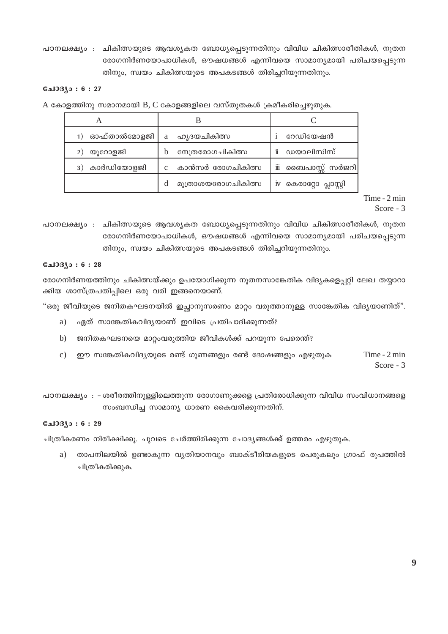പഠനലക്ഷ്യം : ചികിത്സയുടെ ആവശ്യകത ബോധ്യപ്പെടുന്നതിനും വിവിധ ചികിത്സാരീതികൾ, നൂതന രോഗനിർണയോപാധികൾ, ഔഷധങ്ങൾ എന്നിവയെ സാമാന്യമായി പരിചയപ്പെടുന്ന തിനും, സ്വയം ചികിത്സയുടെ അപകടങ്ങൾ തിരിച്ചറിയുന്നതിനും.

# **CalOBAo: 6:27**

A കോളത്തിനു സമാനമായി B, C കോളങ്ങളിലെ വസ്തുതകൾ ക്രമീകരിച്ചെഴുതുക.

| ഓഫ്താൽമോളജി      | ഹൃദയചികിത്സ<br>a        | റേഡിയേഷൻ                  |  |
|------------------|-------------------------|---------------------------|--|
| യൂറോളജി          | നേത്രരോഗചികിത്സ<br>h    | i<br>ഡയാലിസിസ്            |  |
| കാർഡിയോളജി<br>3) | കാൻസർ രോഗചികിത്സ        | iii<br>ബൈപാസ്സ് സർജറി     |  |
|                  | മൂത്രാശയരോഗചികിത്സ<br>d | കെരാറ്റോ പ്ലാസ്റ്റി<br>1V |  |

Time - 2 min Score - 3

പഠനലക്ഷ്യം : ചികിത്സയുടെ ആവശ്യകത ബോധ്യപ്പെടുന്നതിനും വിവിധ ചികിത്സാരീതികൾ, നൂതന രോഗനിർണയോപാധികൾ, ഔഷധങ്ങൾ എന്നിവയെ സാമാന്യമായി പരിചയപ്പെടുന്ന തിനും, സ്വയം ചികിത്സയുടെ അപകടങ്ങൾ തിരിച്ചറിയുന്നതിനും.

#### **பോദ്യം: 6:28**

രോഗനിർണയത്തിനും ചികിത്സയ്ക്കും ഉപയോഗിക്കുന്ന നൂതനസാങ്കേതിക വിദൃകളെപ്പറ്റി ലേഖ തയ്യാറാ ക്കിയ ശാസ്ത്രപതിപ്പിലെ ഒരു വരി ഇങ്ങനെയാണ്.

"ഒരു ജീവിയുടെ ജനിതകഘടനയിൽ ഇച്ഛാനുസരണം മാറ്റം വരുത്താനുള്ള സാങ്കേതിക വിദൃയാണിത്".

- ഏത് സാങ്കേതികവിദൃയാണ് ഇവിടെ പ്രതിപാദിക്കുന്നത്? a)
- $b)$ ജനിതകഘടനയെ മാറ്റംവരുത്തിയ ജീവികൾക്ക് പറയുന്ന പേരെന്ത്?
- Time 2 min  $\mathbf{c})$ ഈ സങ്കേതികവിദ്യയുടെ രണ്ട് ഗുണങ്ങളും രണ്ട് ദോഷങ്ങളും എഴുതുക Score - 3

പഠനലക്ഷ്യം : - ശരീരത്തിനുള്ളിലെത്തുന്ന രോഗാണുക്കളെ പ്രതിരോധിക്കുന്ന വിവിധ സംവിധാനങ്ങളെ സംബന്ധിച്ച സാമാന്യ ധാരണ കൈവരിക്കുന്നതിന്.

#### **பോദ്യം: 6:29**

ചിത്രീകരണം നിരീക്ഷിക്കു. ചുവടെ ചേർത്തിരിക്കുന്ന ചോദ്യങ്ങൾക്ക് ഉത്തരം എഴുതുക.

താപനിലയിൽ ഉണ്ടാകുന്ന വ്യതിയാനവും ബാക്ടീരിയകളുടെ പെരുകലും ഗ്രാഫ് രൂപത്തിൽ a) ചിത്രീകരിക്കുക.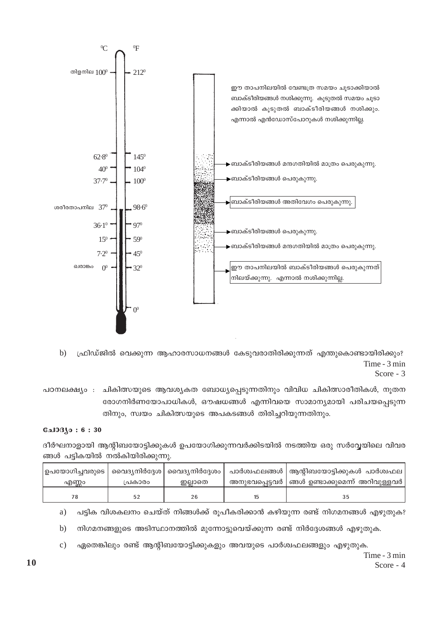

ഫ്രിഡ്ജിൽ വെക്കുന്ന ആഹാരസാധനങ്ങൾ കേടുവരാതിരിക്കുന്നത് എന്തുകൊണ്ടായിരിക്കും?  $h)$ Time - 3 min

Score - 3

പഠനലക്ഷ്യം : ചികിത്സയുടെ ആവശ്യകത ബോധ്യപ്പെടുന്നതിനും വിവിധ ചികിത്സാരീതികൾ, നൂതന രോഗനിർണയോപാധികൾ, ഔഷധങ്ങൾ എന്നിവയെ സാമാന്യമായി പരിചയപ്പെടുന്ന തിനും, സ്വയം ചികിത്സയുടെ അപകടങ്ങൾ തിരിച്ചറിയുന്നതിനും.

# **பോദ്യം: 6:30**

ദീർഘനാളായി ആന്റിബയോട്ടിക്കുകൾ ഉപയോഗിക്കുന്നവർക്കിടയിൽ നടത്തിയ ഒരു സർവ്വേയിലെ വിവര ങ്ങൾ പട്ടികയിൽ നൽകിയിരിക്കുന്നു.

|       |         |         | ഉപയോഗിച്ചവരുടെ   വൈദ്യനിർദ്ദേശ   വൈദ്യനിർദ്ദേശം    പാർശ്വഫലങ്ങൾ   ആന്റിബയോട്ടിക്കുകൾ  പാർശ്വഫല |
|-------|---------|---------|------------------------------------------------------------------------------------------------|
| എണ്ണം | പ്രകാരം | ഇല്ലാതെ | _ അനുഭവപ്പെട്ടവർ   ങ്ങൾ ഉണ്ടാക്കുമെന്ന്  അറിവുള്ളവർ                                            |
|       |         | 26      |                                                                                                |

പട്ടിക വിശകലനം ചെയ്ത് നിങ്ങൾക്ക് രൂപീകരിക്കാൻ കഴിയുന്ന രണ്ട് നിഗമനങ്ങൾ എഴുതുക? a)

നിഗമനങ്ങളുടെ അടിസ്ഥാനത്തിൽ മുന്നോട്ടുവെയ്ക്കുന്ന രണ്ട് നിർദ്ദേശങ്ങൾ എഴുതുക.  $b)$ 

ഏതെങ്കിലും രണ്ട് ആന്റിബയോട്ടിക്കുകളും അവയുടെ പാർശ്വഫലങ്ങളും എഴുതുക.  $\mathbf{c})$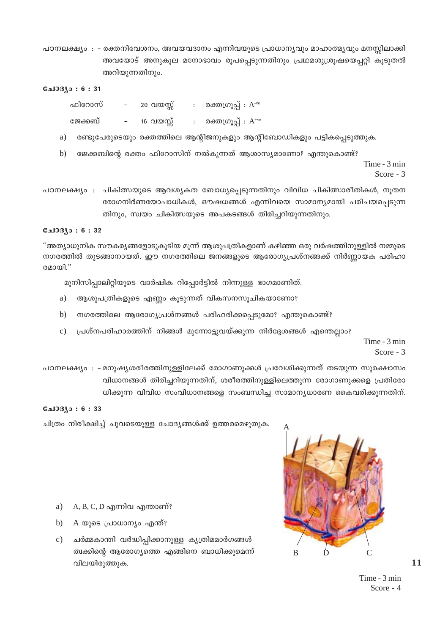പഠനലക്ഷ്യം : - രക്തനിവേശനം, അവയവദാനം എന്നിവയുടെ പ്രാധാന്യവും മാഹാത്മ്യവും മനസ്സിലാക്കി അവയോട് അനുകൂല മനോഭാവം രൂപപ്പെടുന്നതിനും പ്രഥമശുശ്രൂഷയെപ്പറ്റി കൂടുതൽ അറിയുന്നതിനും.

#### **Gal**331o: 6:31

| ഫിറോസ്  | $\sim$   | 20 വയസ്സ് | $: \quad$ രക്തഗ്രൂപ്പ് $: A^{ve}$             |
|---------|----------|-----------|-----------------------------------------------|
| ജേക്കബ് | $\equiv$ | 16 വയസ്സ് | രക്തശൂപ്പ് $\colon \mathsf{A}^{*\mathrm{ve}}$ |

- രണ്ടുപേരുടെയും രക്തത്തിലെ ആന്റിജനുകളും ആന്റിബോഡികളും പട്ടികപ്പെടുത്തുക. a)
- ജേക്കബിന്റെ രക്തം ഫിറോസിന് നൽകുന്നത് ആശാസ്യമാണോ? എന്തുകൊണ്ട്?  $\mathbf{b}$ Time - 3 min

Score -  $3$ 

പഠനലക്ഷ്യം : ചികിത്സയുടെ ആവശ്യകത ബോധ്യപ്പെടുന്നതിനും വിവിധ ചികിത്സാരീതികൾ, നൂതന രോഗനിർണയോപാധികൾ, ഔഷധങ്ങൾ എന്നിവയെ സാമാന്യമായി പരിചയപ്പെടുന്ന തിനും, സ്വയം ചികിത്സയുടെ അപകടങ്ങൾ തിരിച്ചറിയുന്നതിനും.

#### $0.103(0:6:32)$

"അത്യാധുനിക സൗകര്യങ്ങളോടുകൂടിയ മൂന്ന് ആശുപത്രികളാണ് കഴിഞ്ഞ ഒരു വർഷത്തിനുള്ളിൽ നമ്മുടെ നഗരത്തിൽ തുടങ്ങാനായത്. ഈ നഗരത്തിലെ ജനങ്ങളുടെ ആരോഗ്യപ്രശ്നങ്ങക്ക് നിർണ്ണായക പരിഹാ രമായി."

മുനിസിപ്പാലിറ്റിയുടെ വാർഷിക റിപ്പോർട്ടിൽ നിന്നുള്ള ഭാഗമാണിത്.

- a) ആശുപത്രികളുടെ എണ്ണം കൂടുന്നത് വികസനസൂചികയാണോ?
- $b)$ നഗരത്തിലെ ആരോഗ്യപ്രശ്നങ്ങൾ പരിഹരിക്കപ്പെടുമോ? എന്തുകൊണ്ട്?
- പ്രശ്നപരിഹാരത്തിന് നിങ്ങൾ മുന്നോട്ടുവയ്ക്കുന്ന നിർദ്ദേശങ്ങൾ എന്തെല്ലാം?  $\mathbf{c})$

Time - 3 min Score -  $3$ 

പഠനലക്ഷ്യം : –മനുഷ്യശരീരത്തിനുള്ളിലേക്ക് രോഗാണുക്കൾ പ്രവേശിക്കുന്നത് തടയുന്ന സുരക്ഷാസം വിധാനങ്ങൾ തിരിച്ചറിയുന്നതിന്, ശരീരത്തിനുള്ളിലെത്തുന്ന രോഗാണുക്കളെ പ്രതിരോ ധിക്കുന്ന വിവിധ സംവിധാനങ്ങളെ സംബന്ധിച്ച സാമാന്യധാരണ കൈവരിക്കുന്നതിന്.

# **CalOBAo: 6:33**

ചിത്രം നിരീക്ഷിച്ച് ചുവടെയുള്ള ചോദ്യങ്ങൾക്ക് ഉത്തരമെഴുതുക.

- A, B, C, D എന്നിവ എന്താണ്? a)
- A യുടെ പ്രാധാന്യം എന്ത്?  $b)$
- ചർമ്മകാന്തി വർദ്ധിപ്പിക്കാനുള്ള കൃത്രിമമാർഗങ്ങൾ  $c)$ ത്വക്കിന്റെ ആരോഗ്യത്തെ എങ്ങിനെ ബാധിക്കുമെന്ന് വിലയിരുത്തുക.



 $11$ 

Time - 3 min Score - 4